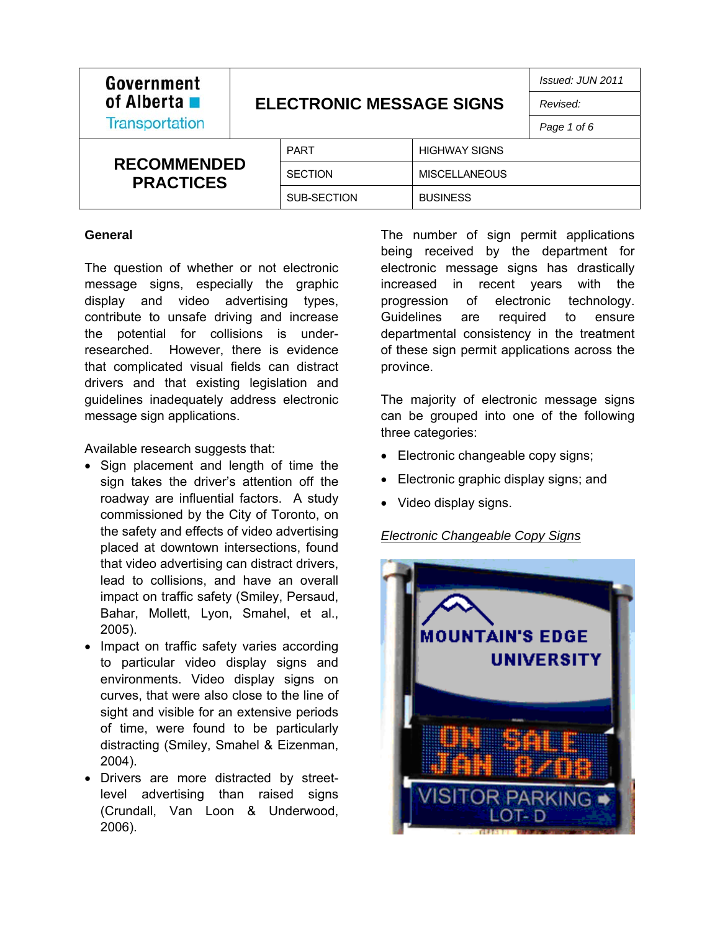| Government |  |
|------------|--|
| of Alberta |  |

**Transportation** 

**ELECTRONIC MESSAGE SIGNS** *Revised:* 

*Issued: JUN 2011* 

*Page 1 of 6* 

## **RECOMMENDED PRACTICES**

| <b>PART</b>    | <b>HIGHWAY SIGNS</b> |
|----------------|----------------------|
| <b>SECTION</b> | <b>MISCELLANEOUS</b> |
| SUB-SECTION    | <b>BUSINESS</b>      |

#### **General**

The question of whether or not electronic message signs, especially the graphic display and video advertising types, contribute to unsafe driving and increase the potential for collisions is underresearched. However, there is evidence that complicated visual fields can distract drivers and that existing legislation and guidelines inadequately address electronic message sign applications.

Available research suggests that:

- Sign placement and length of time the sign takes the driver's attention off the roadway are influential factors. A study commissioned by the City of Toronto, on the safety and effects of video advertising placed at downtown intersections, found that video advertising can distract drivers, lead to collisions, and have an overall impact on traffic safety (Smiley, Persaud, Bahar, Mollett, Lyon, Smahel, et al., 2005).
- Impact on traffic safety varies according to particular video display signs and environments. Video display signs on curves, that were also close to the line of sight and visible for an extensive periods of time, were found to be particularly distracting (Smiley, Smahel & Eizenman, 2004).
- Drivers are more distracted by streetlevel advertising than raised signs (Crundall, Van Loon & Underwood, 2006).

The number of sign permit applications being received by the department for electronic message signs has drastically increased in recent years with the progression of electronic technology. Guidelines are required to ensure departmental consistency in the treatment of these sign permit applications across the province.

The majority of electronic message signs can be grouped into one of the following three categories:

- Electronic changeable copy signs;
- Electronic graphic display signs; and
- Video display signs.

## *Electronic Changeable Copy Signs*

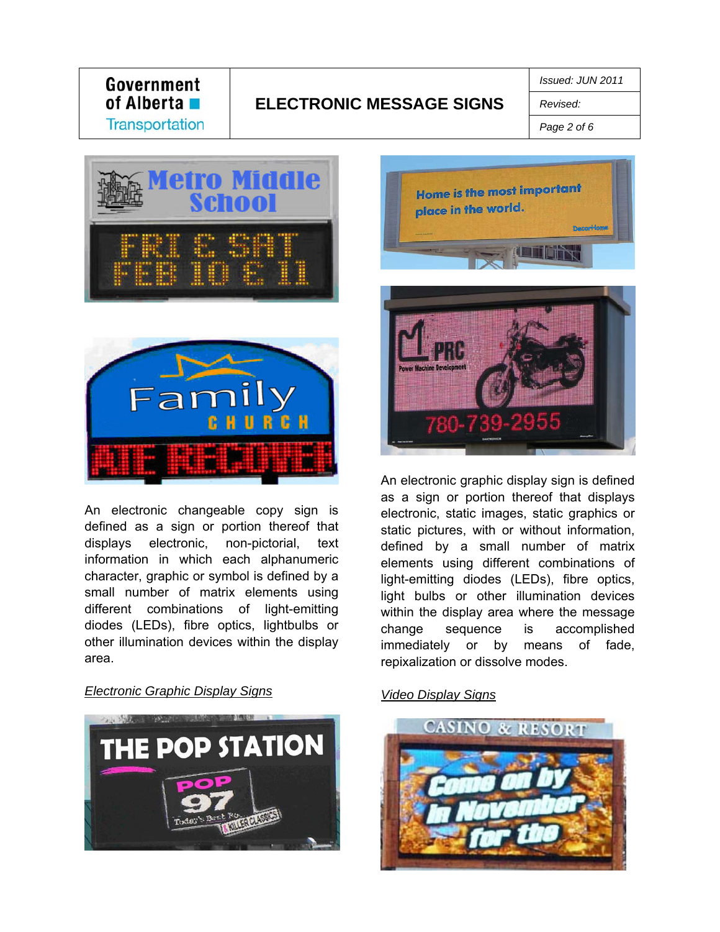## Government of Alberta **La Transportation**

# **ELECTRONIC MESSAGE SIGNS** *Revised:*

*Issued: JUN 2011* 

*Page 2 of 6* 





An electronic changeable copy sign is defined as a sign or portion thereof that displays electronic, non-pictorial, text information in which each alphanumeric character, graphic or symbol is defined by a small number of matrix elements using different combinations of light-emitting diodes (LEDs), fibre optics, lightbulbs or other illumination devices within the display area.

#### *Electronic Graphic Display Signs*







An electronic graphic display sign is defined as a sign or portion thereof that displays electronic, static images, static graphics or static pictures, with or without information, defined by a small number of matrix elements using different combinations of light-emitting diodes (LEDs), fibre optics, light bulbs or other illumination devices within the display area where the message change sequence is accomplished immediately or by means of fade, repixalization or dissolve modes.

#### *Video Display Signs*

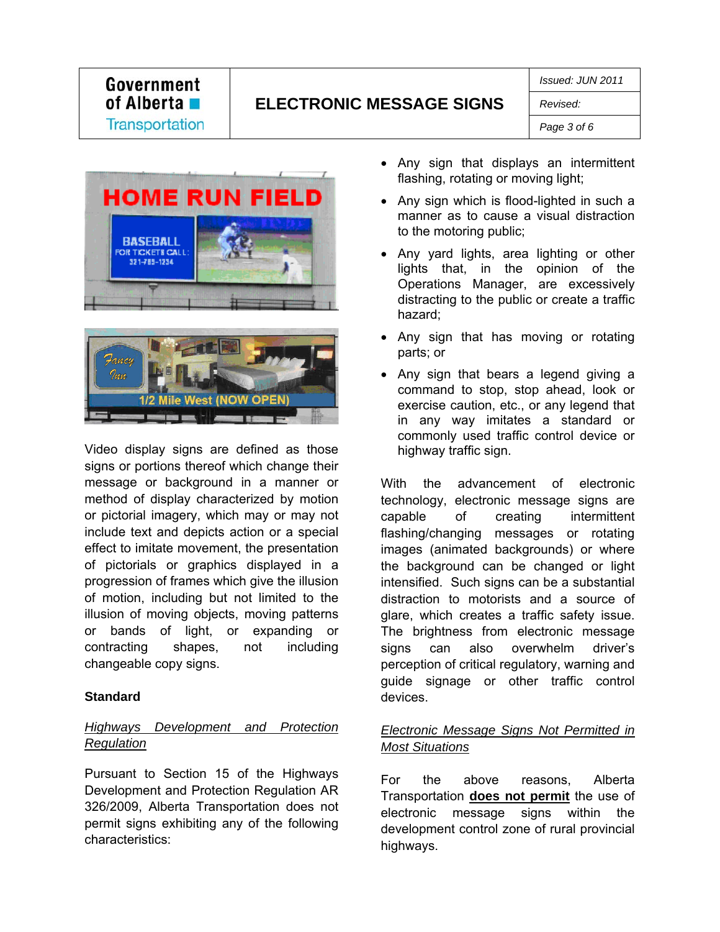## Government of Alberta **La Transportation**

# **ELECTRONIC MESSAGE SIGNS** *Revised:*

*Page 3 of 6* 





Video display signs are defined as those signs or portions thereof which change their message or background in a manner or method of display characterized by motion or pictorial imagery, which may or may not include text and depicts action or a special effect to imitate movement, the presentation of pictorials or graphics displayed in a progression of frames which give the illusion of motion, including but not limited to the illusion of moving objects, moving patterns or bands of light, or expanding or contracting shapes, not including changeable copy signs.

#### **Standard**

#### *Highways Development and Protection Regulation*

Pursuant to Section 15 of the Highways Development and Protection Regulation AR 326/2009, Alberta Transportation does not permit signs exhibiting any of the following characteristics:

- Any sign that displays an intermittent flashing, rotating or moving light;
- Any sign which is flood-lighted in such a manner as to cause a visual distraction to the motoring public;
- Any yard lights, area lighting or other lights that, in the opinion of the Operations Manager, are excessively distracting to the public or create a traffic hazard;
- Any sign that has moving or rotating parts; or
- Any sign that bears a legend giving a command to stop, stop ahead, look or exercise caution, etc., or any legend that in any way imitates a standard or commonly used traffic control device or highway traffic sign.

With the advancement of electronic technology, electronic message signs are capable of creating intermittent flashing/changing messages or rotating images (animated backgrounds) or where the background can be changed or light intensified. Such signs can be a substantial distraction to motorists and a source of glare, which creates a traffic safety issue. The brightness from electronic message signs can also overwhelm driver's perception of critical regulatory, warning and guide signage or other traffic control devices.

#### *Electronic Message Signs Not Permitted in Most Situations*

For the above reasons, Alberta Transportation **does not permit** the use of electronic message signs within the development control zone of rural provincial highways.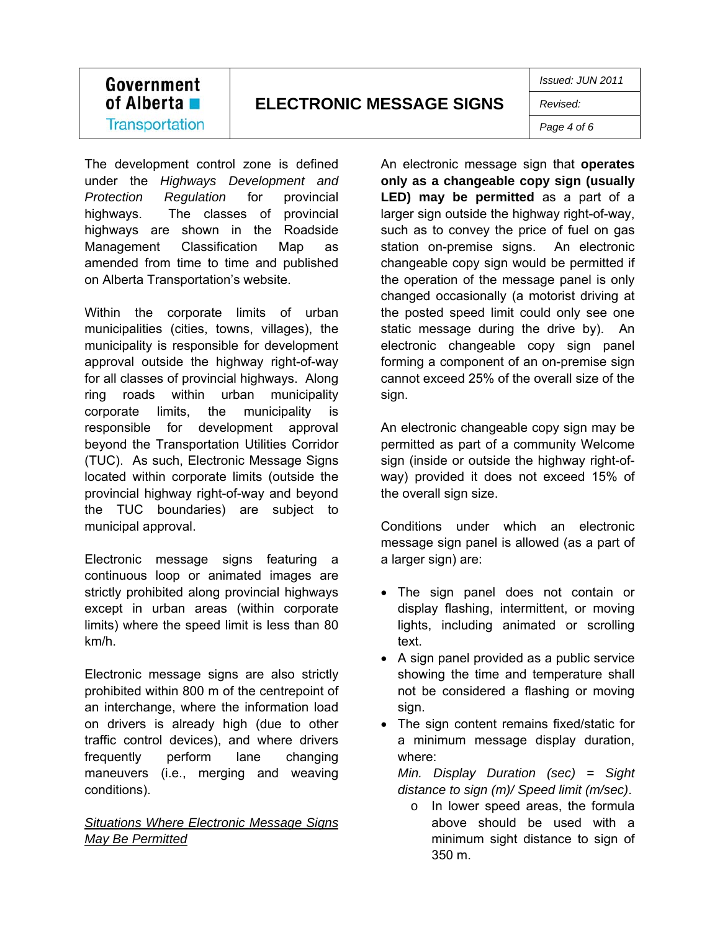Government of Alberta **La** 

## **ELECTRONIC MESSAGE SIGNS** *Revised:*

*Issued: JUN 2011* 

*Page 4 of 6* 

**Transportation** 

The development control zone is defined under the *Highways Development and Protection Regulation* for provincial highways. The classes of provincial highways are shown in the Roadside Management Classification Map as amended from time to time and published on Alberta Transportation's website.

Within the corporate limits of urban municipalities (cities, towns, villages), the municipality is responsible for development approval outside the highway right-of-way for all classes of provincial highways. Along ring roads within urban municipality corporate limits, the municipality is responsible for development approval beyond the Transportation Utilities Corridor (TUC). As such, Electronic Message Signs located within corporate limits (outside the provincial highway right-of-way and beyond the TUC boundaries) are subject to municipal approval.

Electronic message signs featuring a continuous loop or animated images are strictly prohibited along provincial highways except in urban areas (within corporate limits) where the speed limit is less than 80 km/h.

Electronic message signs are also strictly prohibited within 800 m of the centrepoint of an interchange, where the information load on drivers is already high (due to other traffic control devices), and where drivers frequently perform lane changing maneuvers (i.e., merging and weaving conditions).

#### *Situations Where Electronic Message Signs May Be Permitted*

An electronic message sign that **operates only as a changeable copy sign (usually LED) may be permitted** as a part of a larger sign outside the highway right-of-way, such as to convey the price of fuel on gas station on-premise signs. An electronic changeable copy sign would be permitted if the operation of the message panel is only changed occasionally (a motorist driving at the posted speed limit could only see one static message during the drive by). An electronic changeable copy sign panel forming a component of an on-premise sign cannot exceed 25% of the overall size of the sign.

An electronic changeable copy sign may be permitted as part of a community Welcome sign (inside or outside the highway right-ofway) provided it does not exceed 15% of the overall sign size.

Conditions under which an electronic message sign panel is allowed (as a part of a larger sign) are:

- The sign panel does not contain or display flashing, intermittent, or moving lights, including animated or scrolling text.
- A sign panel provided as a public service showing the time and temperature shall not be considered a flashing or moving sign.
- The sign content remains fixed/static for a minimum message display duration, where:

*Min. Display Duration (sec) = Sight distance to sign (m)/ Speed limit (m/sec)*.

o In lower speed areas, the formula above should be used with a minimum sight distance to sign of 350 m.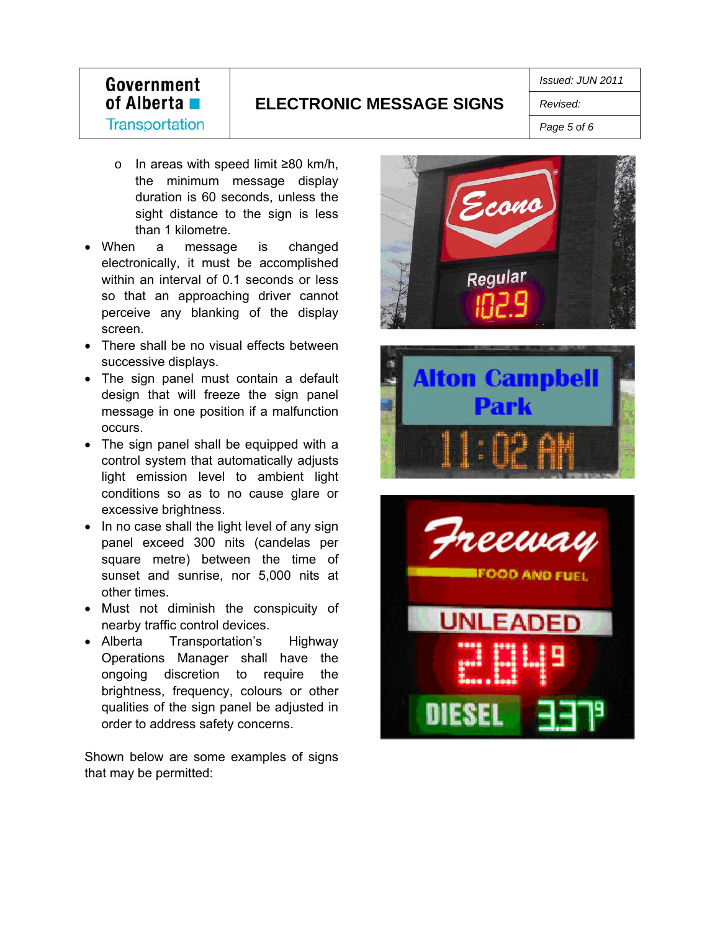#### Government of Alberta **La**

**Transportation** 

# **ELECTRONIC MESSAGE SIGNS** *Revised:*

*Issued: JUN 2011* 

*Page 5 of 6* 

- o In areas with speed limit ≥80 km/h, the minimum message display duration is 60 seconds, unless the sight distance to the sign is less than 1 kilometre.
- When a message is changed electronically, it must be accomplished within an interval of 0.1 seconds or less so that an approaching driver cannot perceive any blanking of the display screen.
- There shall be no visual effects between successive displays.
- The sign panel must contain a default design that will freeze the sign panel message in one position if a malfunction occurs.
- The sign panel shall be equipped with a control system that automatically adjusts light emission level to ambient light conditions so as to no cause glare or excessive brightness.
- In no case shall the light level of any sign panel exceed 300 nits (candelas per square metre) between the time of sunset and sunrise, nor 5,000 nits at other times.
- Must not diminish the conspicuity of nearby traffic control devices.
- Alberta Transportation's Highway Operations Manager shall have the ongoing discretion to require the brightness, frequency, colours or other qualities of the sign panel be adjusted in order to address safety concerns.

Shown below are some examples of signs that may be permitted: